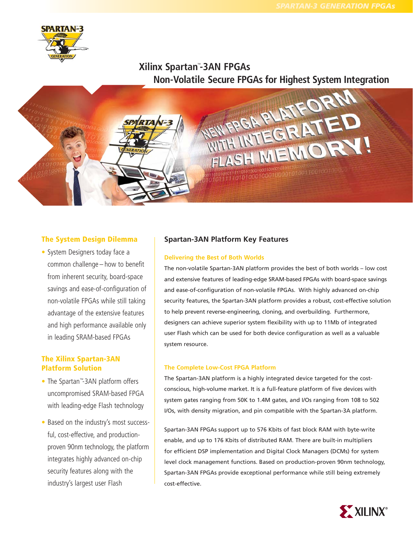

# **Xilinx Spartan**™ **-3AN FPGAs**



## **The System Design Dilemma**

• System Designers today face a common challenge – how to benefit from inherent security, board-space savings and ease-of-configuration of non-volatile FPGAs while still taking advantage of the extensive features and high performance available only in leading SRAM-based FPGAs

## **The Xilinx Spartan-3AN Platform Solution**

- The Spartan™-3AN platform offers uncompromised SRAM-based FPGA with leading-edge Flash technology
- Based on the industry's most successful, cost-effective, and productionproven 90nm technology, the platform integrates highly advanced on-chip security features along with the industry's largest user Flash

# **Spartan-3AN Platform Key Features**

## **Delivering the Best of Both Worlds**

The non-volatile Spartan-3AN platform provides the best of both worlds – low cost and extensive features of leading-edge SRAM-based FPGAs with board-space savings and ease-of-configuration of non-volatile FPGAs. With highly advanced on-chip security features, the Spartan-3AN platform provides a robust, cost-effective solution to help prevent reverse-engineering, cloning, and overbuilding. Furthermore, designers can achieve superior system flexibility with up to 11Mb of integrated user Flash which can be used for both device configuration as well as a valuable system resource.

## **The Complete Low-Cost FPGA Platform**

The Spartan-3AN platform is a highly integrated device targeted for the costconscious, high-volume market. It is a full-feature platform of five devices with system gates ranging from 50K to 1.4M gates, and I/Os ranging from 108 to 502 I/Os, with density migration, and pin compatible with the Spartan-3A platform.

Spartan-3AN FPGAs support up to 576 Kbits of fast block RAM with byte-write enable, and up to 176 Kbits of distributed RAM. There are built-in multipliers for efficient DSP implementation and Digital Clock Managers (DCMs) for system level clock management functions. Based on production-proven 90nm technology, Spartan-3AN FPGAs provide exceptional performance while still being extremely cost-effective.